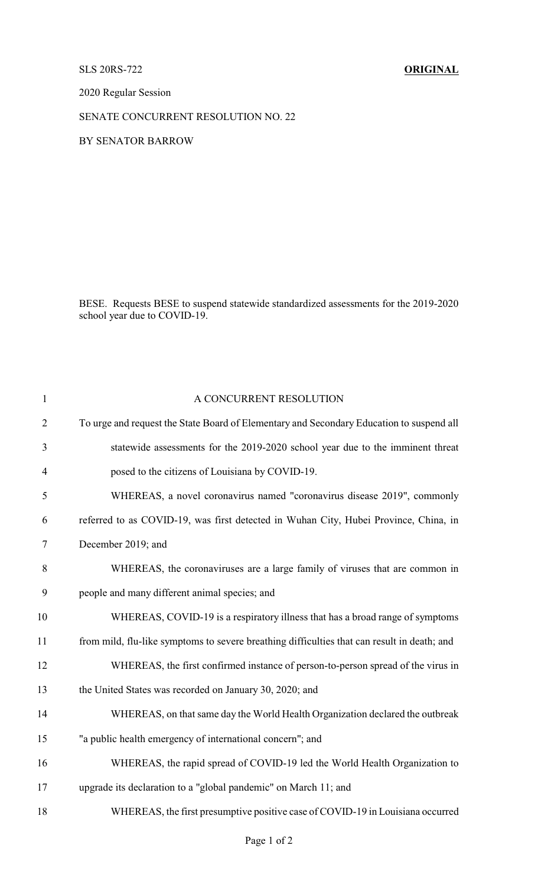## SLS 20RS-722 **ORIGINAL**

2020 Regular Session

## SENATE CONCURRENT RESOLUTION NO. 22

## BY SENATOR BARROW

BESE. Requests BESE to suspend statewide standardized assessments for the 2019-2020 school year due to COVID-19.

| $\mathbf{1}$   | A CONCURRENT RESOLUTION                                                                     |  |  |
|----------------|---------------------------------------------------------------------------------------------|--|--|
| $\overline{2}$ | To urge and request the State Board of Elementary and Secondary Education to suspend all    |  |  |
| 3              | statewide assessments for the 2019-2020 school year due to the imminent threat              |  |  |
| $\overline{4}$ | posed to the citizens of Louisiana by COVID-19.                                             |  |  |
| 5              | WHEREAS, a novel coronavirus named "coronavirus disease 2019", commonly                     |  |  |
| 6              | referred to as COVID-19, was first detected in Wuhan City, Hubei Province, China, in        |  |  |
| $\tau$         | December 2019; and                                                                          |  |  |
| 8              | WHEREAS, the coronaviruses are a large family of viruses that are common in                 |  |  |
| 9              | people and many different animal species; and                                               |  |  |
| 10             | WHEREAS, COVID-19 is a respiratory illness that has a broad range of symptoms               |  |  |
| 11             | from mild, flu-like symptoms to severe breathing difficulties that can result in death; and |  |  |
| 12             | WHEREAS, the first confirmed instance of person-to-person spread of the virus in            |  |  |
| 13             | the United States was recorded on January 30, 2020; and                                     |  |  |
| 14             | WHEREAS, on that same day the World Health Organization declared the outbreak               |  |  |
| 15             | "a public health emergency of international concern"; and                                   |  |  |
| 16             | WHEREAS, the rapid spread of COVID-19 led the World Health Organization to                  |  |  |
| 17             | upgrade its declaration to a "global pandemic" on March 11; and                             |  |  |
| 18             | WHEREAS, the first presumptive positive case of COVID-19 in Louisiana occurred              |  |  |